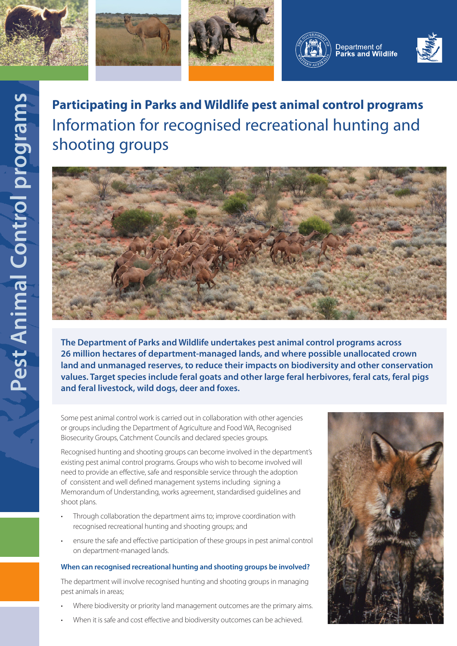









# **Participating in Parks and Wildlife pest animal control programs** Information for recognised recreational hunting and shooting groups



**The Department of Parks and Wildlife undertakes pest animal control programs across 26 million hectares of department-managed lands, and where possible unallocated crown land and unmanaged reserves, to reduce their impacts on biodiversity and other conservation values. Target species include feral goats and other large feral herbivores, feral cats, feral pigs and feral livestock, wild dogs, deer and foxes.**

Some pest animal control work is carried out in collaboration with other agencies or groups including the Department of Agriculture and Food WA, Recognised Biosecurity Groups, Catchment Councils and declared species groups.

Recognised hunting and shooting groups can become involved in the department's existing pest animal control programs. Groups who wish to become involved will need to provide an effective, safe and responsible service through the adoption of consistent and well defined management systems including signing a Memorandum of Understanding, works agreement, standardised guidelines and shoot plans.

- Through collaboration the department aims to; improve coordination with recognised recreational hunting and shooting groups; and
- ensure the safe and effective participation of these groups in pest animal control on department-managed lands.

#### **When can recognised recreational hunting and shooting groups be involved?**

The department will involve recognised hunting and shooting groups in managing pest animals in areas;

- Where biodiversity or priority land management outcomes are the primary aims.
- When it is safe and cost effective and biodiversity outcomes can be achieved.